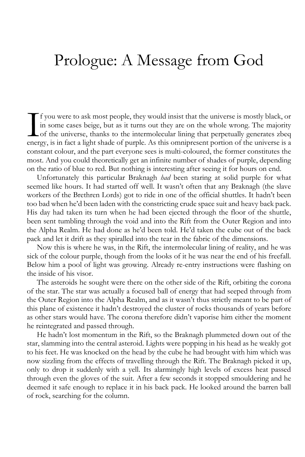## Prologue: A Message from God

f you were to ask most people, they would insist that the universe is mostly black, or in some cases beige, but as it turns out they are on the whole wrong. The majority of the universe, thanks to the intermolecular lining that perpetually generates zbeq If you were to ask most people, they would insist that the universe is mostly black, or in some cases beige, but as it turns out they are on the whole wrong. The majority of the universe, thanks to the intermolecular linin constant colour, and the part everyone sees is multi-coloured, the former constitutes the most. And you could theoretically get an infinite number of shades of purple, depending on the ratio of blue to red. But nothing is interesting after seeing it for hours on end.

Unfortunately this particular Braknagh *had* been staring at solid purple for what seemed like hours. It had started off well. It wasn't often that any Braknagh (the slave workers of the Brethren Lords) got to ride in one of the official shuttles. It hadn't been too bad when he'd been laden with the constricting crude space suit and heavy back pack. His day had taken its turn when he had been ejected through the floor of the shuttle, been sent tumbling through the void and into the Rift from the Outer Region and into the Alpha Realm. He had done as he'd been told. He'd taken the cube out of the back pack and let it drift as they spiralled into the tear in the fabric of the dimensions.

Now this is where he was, in the Rift, the intermolecular lining of reality, and he was sick of the colour purple, though from the looks of it he was near the end of his freefall. Below him a pool of light was growing. Already re-entry instructions were flashing on the inside of his visor.

The asteroids he sought were there on the other side of the Rift, orbiting the corona of the star. The star was actually a focused ball of energy that had seeped through from the Outer Region into the Alpha Realm, and as it wasn't thus strictly meant to be part of this plane of existence it hadn't destroyed the cluster of rocks thousands of years before as other stars would have. The corona therefore didn't vaporise him either the moment he reintegrated and passed through.

He hadn't lost momentum in the Rift, so the Braknagh plummeted down out of the star, slamming into the central asteroid. Lights were popping in his head as he weakly got to his feet. He was knocked on the head by the cube he had brought with him which was now sizzling from the effects of travelling through the Rift. The Braknagh picked it up, only to drop it suddenly with a yell. Its alarmingly high levels of excess heat passed through even the gloves of the suit. After a few seconds it stopped smouldering and he deemed it safe enough to replace it in his back pack. He looked around the barren ball of rock, searching for the column.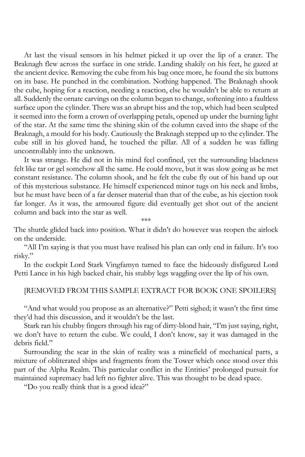At last the visual sensors in his helmet picked it up over the lip of a crater. The Braknagh flew across the surface in one stride. Landing shakily on his feet, he gazed at the ancient device. Removing the cube from his bag once more, he found the six buttons on its base. He punched in the combination. Nothing happened. The Braknagh shook the cube, hoping for a reaction, needing a reaction, else he wouldn't be able to return at all. Suddenly the ornate carvings on the column began to change, softening into a faultless surface upon the cylinder. There was an abrupt hiss and the top, which had been sculpted it seemed into the form a crown of overlapping petals, opened up under the burning light of the star. At the same time the shining skin of the column caved into the shape of the Braknagh, a mould for his body. Cautiously the Braknagh stepped up to the cylinder. The cube still in his gloved hand, he touched the pillar. All of a sudden he was falling uncontrollably into the unknown.

It was strange. He did not in his mind feel confined, yet the surrounding blackness felt like tar or gel somehow all the same. He could move, but it was slow going as he met constant resistance. The column shook, and he felt the cube fly out of his hand up out of this mysterious substance. He himself experienced minor tugs on his neck and limbs, but he must have been of a far denser material than that of the cube, as his ejection took far longer. As it was, the armoured figure did eventually get shot out of the ancient column and back into the star as well.

\*\*\*

The shuttle glided back into position. What it didn't do however was reopen the airlock on the underside.

"All I'm saying is that you must have realised his plan can only end in failure. It's too risky."

In the cockpit Lord Stark Vingfamyn turned to face the hideously disfigured Lord Petti Lance in his high backed chair, his stubby legs waggling over the lip of his own.

## [REMOVED FROM THIS SAMPLE EXTRACT FOR BOOK ONE SPOILERS]

"And what would you propose as an alternative?" Petti sighed; it wasn't the first time they'd had this discussion, and it wouldn't be the last.

Stark ran his chubby fingers through his rag of dirty-blond hair, "I'm just saying, right, we don't have to return the cube. We could, I don't know, say it was damaged in the debris field."

Surrounding the scar in the skin of reality was a minefield of mechanical parts, a mixture of obliterated ships and fragments from the Tower which once stood over this part of the Alpha Realm. This particular conflict in the Entities' prolonged pursuit for maintained supremacy had left no fighter alive. This was thought to be dead space.

"Do you really think that is a good idea?"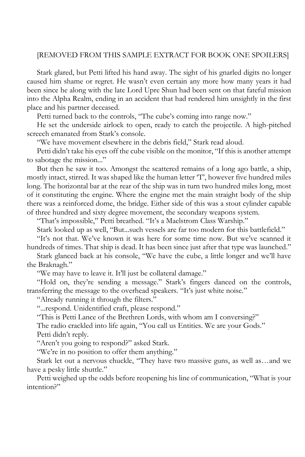## [REMOVED FROM THIS SAMPLE EXTRACT FOR BOOK ONE SPOILERS]

Stark glared, but Petti lifted his hand away. The sight of his gnarled digits no longer caused him shame or regret. He wasn't even certain any more how many years it had been since he along with the late Lord Upre Shun had been sent on that fateful mission into the Alpha Realm, ending in an accident that had rendered him unsightly in the first place and his partner deceased.

Petti turned back to the controls, "The cube's coming into range now."

He set the underside airlock to open, ready to catch the projectile. A high-pitched screech emanated from Stark's console.

"We have movement elsewhere in the debris field," Stark read aloud.

Petti didn't take his eyes off the cube visible on the monitor, "If this is another attempt to sabotage the mission..."

But then he saw it too. Amongst the scattered remains of a long ago battle, a ship, mostly intact, stirred. It was shaped like the human letter 'T', however five hundred miles long. The horizontal bar at the rear of the ship was in turn two hundred miles long, most of it constituting the engine. Where the engine met the main straight body of the ship there was a reinforced dome, the bridge. Either side of this was a stout cylinder capable of three hundred and sixty degree movement, the secondary weapons system.

"That's impossible," Petti breathed. "It's a Maelstrom Class Warship."

Stark looked up as well, "But...such vessels are far too modern for this battlefield."

"It's not that. We've known it was here for some time now. But we've scanned it hundreds of times. That ship is dead. It has been since just after that type was launched."

Stark glanced back at his console, "We have the cube, a little longer and we'll have the Braknagh."

"We may have to leave it. It'll just be collateral damage."

"Hold on, they're sending a message." Stark's fingers danced on the controls, transferring the message to the overhead speakers. "It's just white noise."

"Already running it through the filters."

"...respond. Unidentified craft, please respond."

"This is Petti Lance of the Brethren Lords, with whom am I conversing?"

The radio crackled into life again, "You call us Entities. We are your Gods." Petti didn't reply.

"Aren't you going to respond?" asked Stark.

"We're in no position to offer them anything."

Stark let out a nervous chuckle, "They have two massive guns, as well as…and we have a pesky little shuttle."

Petti weighed up the odds before reopening his line of communication, "What is your intention?"